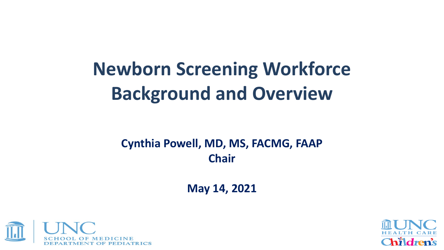# **Newborn Screening Workforce Background and Overview**

#### **Cynthia Powell, MD, MS, FACMG, FAAP Chair**

**May 14, 2021**



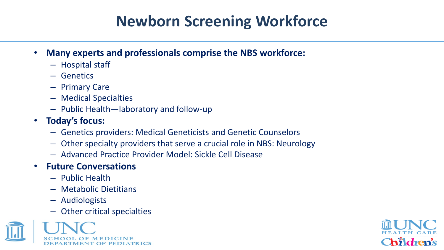### **Newborn Screening Workforce**

- **Many experts and professionals comprise the NBS workforce:**
	- Hospital staff
	- Genetics
	- Primary Care
	- Medical Specialties
	- Public Health—laboratory and follow-up
- **Today's focus:**
	- Genetics providers: Medical Geneticists and Genetic Counselors
	- Other specialty providers that serve a crucial role in NBS: Neurology
	- Advanced Practice Provider Model: Sickle Cell Disease
- **Future Conversations**
	- Public Health
	- Metabolic Dietitians
	- Audiologists
	- Other critical specialties



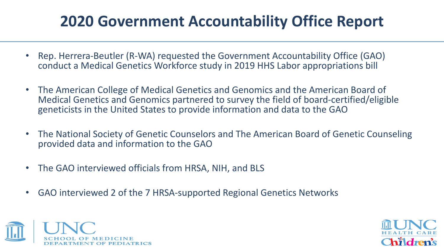#### **2020 Government Accountability Office Report**

- Rep. Herrera-Beutler (R-WA) requested the Government Accountability Office (GAO) conduct a Medical Genetics Workforce study in 2019 HHS Labor appropriations bill
- The American College of Medical Genetics and Genomics and the American Board of Medical Genetics and Genomics partnered to survey the field of board-certified/eligible geneticists in the United States to provide information and data to the GAO
- The National Society of Genetic Counselors and The American Board of Genetic Counseling provided data and information to the GAO
- The GAO interviewed officials from HRSA, NIH, and BLS
- GAO interviewed 2 of the 7 HRSA-supported Regional Genetics Networks



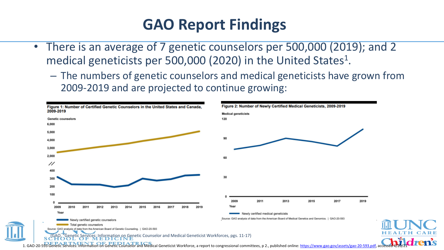#### **GAO Report Findings**

- There is an average of 7 genetic counselors per 500,000 (2019); and 2 medical geneticists per 500,000 (2020) in the United States<sup>1</sup>.
	- The numbers of genetic counselors and medical geneticists have grown from 2009-2019 and are projected to continue growing:

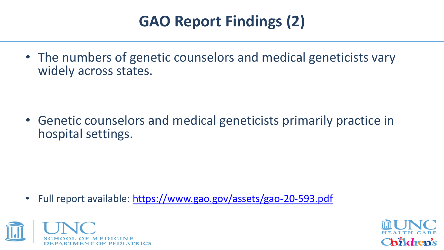# **GAO Report Findings (2)**

• The numbers of genetic counselors and medical geneticists vary widely across states.

• Genetic counselors and medical geneticists primarily practice in hospital settings.

• Full report available: <https://www.gao.gov/assets/gao-20-593.pdf>